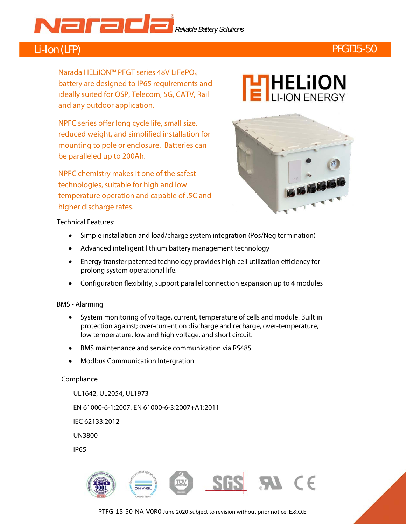# **Reliable Battery Solutions**

# Li-Ion (LFP) PFGT15-50

Narada HELiION™ PFGT series 48V LiFePO<sub>4</sub> battery are designed to IP65 requirements and ideally suited for OSP, Telecom, 5G, CATV, Rail and any outdoor application.

 reduced weight, and simplified installation for NPFC series offer long cycle life, small size, mounting to pole or enclosure. Batteries can be paralleled up to 200Ah.

NPFC chemistry makes it one of the safest technologies, suitable for high and low temperature operation and capable of .5C and higher discharge rates.





Technical Features:

- Simple installation and load/charge system integration (Pos/Neg termination)
- Advanced intelligent lithium battery management technology
- Energy transfer patented technology provides high cell utilization efficiency for prolong system operational life.
- Configuration flexibility, support parallel connection expansion up to 4 modules

### BMS - Alarming

- System monitoring of voltage, current, temperature of cells and module. Built in protection against; over-current on discharge and recharge, over-temperature, low temperature, low and high voltage, and short circuit.
- BMS maintenance and service communication via RS485
- Modbus Communication Intergration

### Compliance

UL1642, UL2054, UL1973 EN 61000-6-1:2007, EN 61000-6-3:2007+A1:2011 IEC 62133:2012 UN3800

IP65